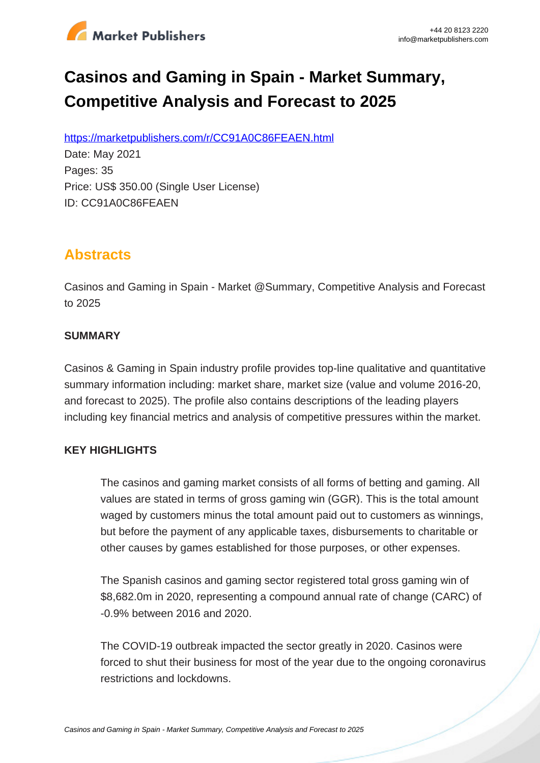

# **Casinos and Gaming in Spain - Market Summary, Competitive Analysis and Forecast to 2025**

https://marketpublishers.com/r/CC91A0C86FEAEN.html

Date: May 2021 Pages: 35 Price: US\$ 350.00 (Single User License) ID: CC91A0C86FEAEN

# **Abstracts**

Casinos and Gaming in Spain - Market @Summary, Competitive Analysis and Forecast to 2025

#### **SUMMARY**

Casinos & Gaming in Spain industry profile provides top-line qualitative and quantitative summary information including: market share, market size (value and volume 2016-20, and forecast to 2025). The profile also contains descriptions of the leading players including key financial metrics and analysis of competitive pressures within the market.

### **KEY HIGHLIGHTS**

The casinos and gaming market consists of all forms of betting and gaming. All values are stated in terms of gross gaming win (GGR). This is the total amount waged by customers minus the total amount paid out to customers as winnings, but before the payment of any applicable taxes, disbursements to charitable or other causes by games established for those purposes, or other expenses.

The Spanish casinos and gaming sector registered total gross gaming win of \$8,682.0m in 2020, representing a compound annual rate of change (CARC) of -0.9% between 2016 and 2020.

The COVID-19 outbreak impacted the sector greatly in 2020. Casinos were forced to shut their business for most of the year due to the ongoing coronavirus restrictions and lockdowns.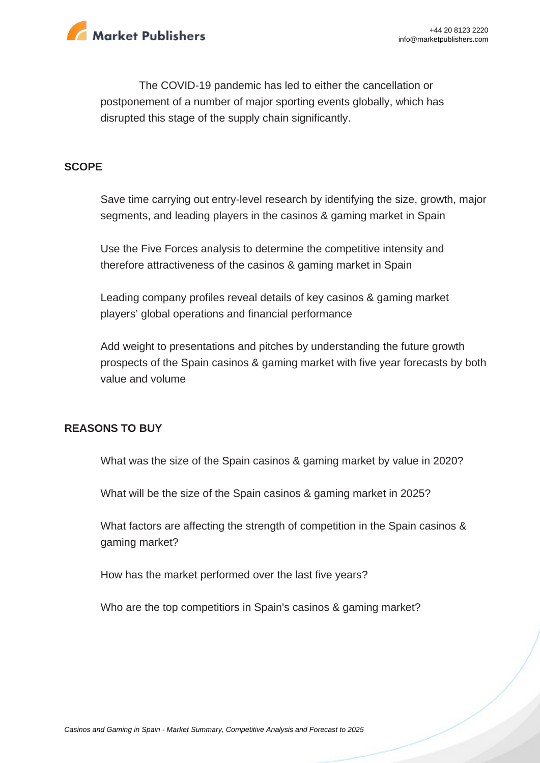

The COVID-19 pandemic has led to either the cancellation or postponement of a number of major sporting events globally, which has disrupted this stage of the supply chain significantly.

#### **SCOPE**

Save time carrying out entry-level research by identifying the size, growth, major segments, and leading players in the casinos & gaming market in Spain

Use the Five Forces analysis to determine the competitive intensity and therefore attractiveness of the casinos & gaming market in Spain

Leading company profiles reveal details of key casinos & gaming market players' global operations and financial performance

Add weight to presentations and pitches by understanding the future growth prospects of the Spain casinos & gaming market with five year forecasts by both value and volume

#### **REASONS TO BUY**

What was the size of the Spain casinos & gaming market by value in 2020?

What will be the size of the Spain casinos & gaming market in 2025?

What factors are affecting the strength of competition in the Spain casinos & gaming market?

How has the market performed over the last five years?

Who are the top competitiors in Spain's casinos & gaming market?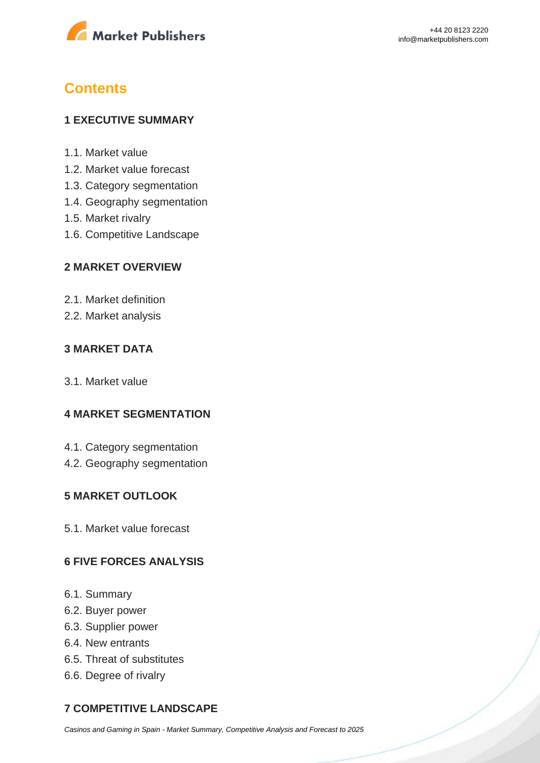

# **Contents**

#### **1 EXECUTIVE SUMMARY**

- 1.1. Market value
- 1.2. Market value forecast
- 1.3. Category segmentation
- 1.4. Geography segmentation
- 1.5. Market rivalry
- 1.6. Competitive Landscape

#### **2 MARKET OVERVIEW**

- 2.1. Market definition
- 2.2. Market analysis

#### **3 MARKET DATA**

3.1. Market value

#### **4 MARKET SEGMENTATION**

- 4.1. Category segmentation
- 4.2. Geography segmentation

#### **5 MARKET OUTLOOK**

5.1. Market value forecast

#### **6 FIVE FORCES ANALYSIS**

- 6.1. Summary
- 6.2. Buyer power
- 6.3. Supplier power
- 6.4. New entrants
- 6.5. Threat of substitutes
- 6.6. Degree of rivalry

### **7 COMPETITIVE LANDSCAPE**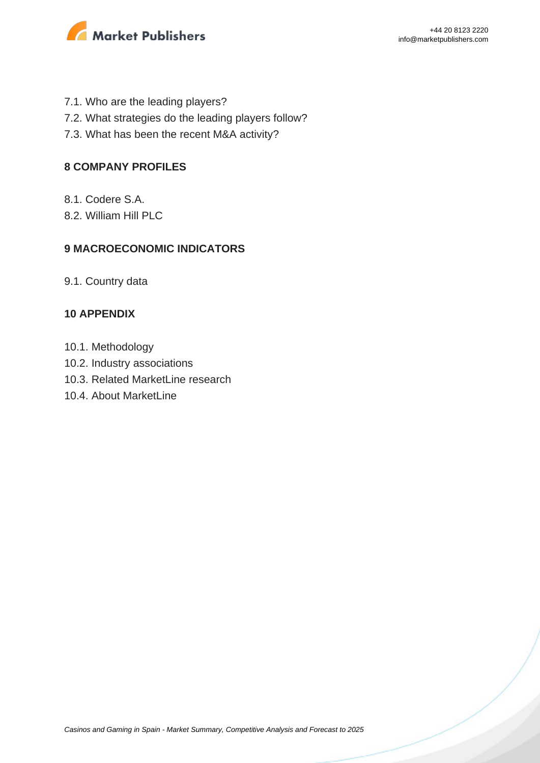

- 7.1. Who are the leading players?
- 7.2. What strategies do the leading players follow?
- 7.3. What has been the recent M&A activity?

#### **8 COMPANY PROFILES**

- 8.1. Codere S.A.
- 8.2. William Hill PLC

#### **9 MACROECONOMIC INDICATORS**

9.1. Country data

#### **10 APPENDIX**

- 10.1. Methodology
- 10.2. Industry associations
- 10.3. Related MarketLine research
- 10.4. About MarketLine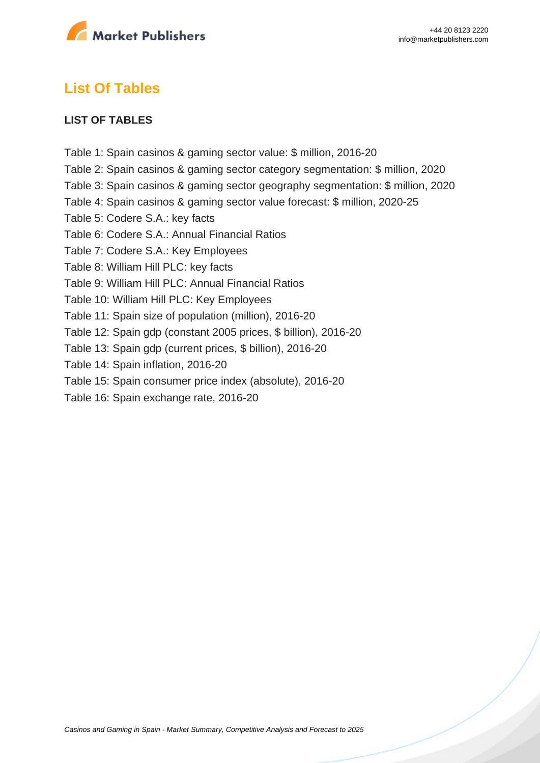

## **List Of Tables**

#### **LIST OF TABLES**

Table 1: Spain casinos & gaming sector value: \$ million, 2016-20 Table 2: Spain casinos & gaming sector category segmentation: \$ million, 2020 Table 3: Spain casinos & gaming sector geography segmentation: \$ million, 2020 Table 4: Spain casinos & gaming sector value forecast: \$ million, 2020-25 Table 5: Codere S.A.: key facts Table 6: Codere S.A.: Annual Financial Ratios Table 7: Codere S.A.: Key Employees Table 8: William Hill PLC: key facts Table 9: William Hill PLC: Annual Financial Ratios Table 10: William Hill PLC: Key Employees Table 11: Spain size of population (million), 2016-20 Table 12: Spain gdp (constant 2005 prices, \$ billion), 2016-20 Table 13: Spain gdp (current prices, \$ billion), 2016-20 Table 14: Spain inflation, 2016-20 Table 15: Spain consumer price index (absolute), 2016-20 Table 16: Spain exchange rate, 2016-20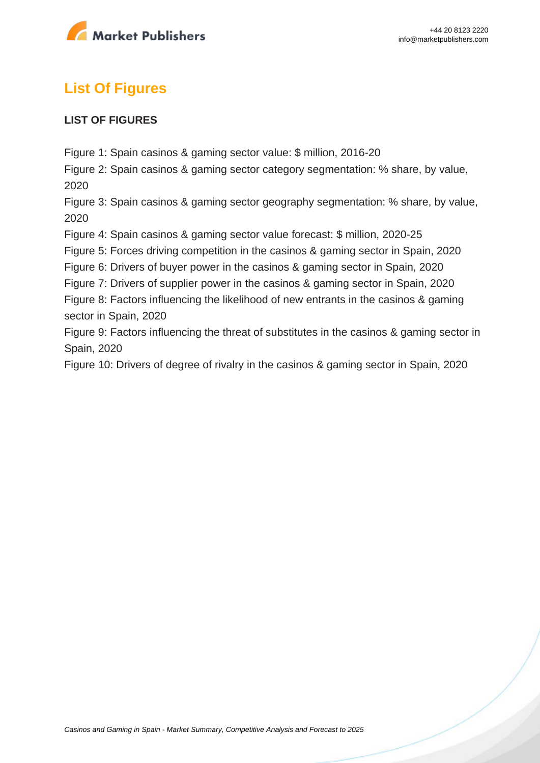

# **List Of Figures**

#### **LIST OF FIGURES**

Figure 1: Spain casinos & gaming sector value: \$ million, 2016-20

Figure 2: Spain casinos & gaming sector category segmentation: % share, by value, 2020

Figure 3: Spain casinos & gaming sector geography segmentation: % share, by value, 2020

Figure 4: Spain casinos & gaming sector value forecast: \$ million, 2020-25

Figure 5: Forces driving competition in the casinos & gaming sector in Spain, 2020

Figure 6: Drivers of buyer power in the casinos & gaming sector in Spain, 2020

Figure 7: Drivers of supplier power in the casinos & gaming sector in Spain, 2020

Figure 8: Factors influencing the likelihood of new entrants in the casinos & gaming sector in Spain, 2020

Figure 9: Factors influencing the threat of substitutes in the casinos & gaming sector in Spain, 2020

Figure 10: Drivers of degree of rivalry in the casinos & gaming sector in Spain, 2020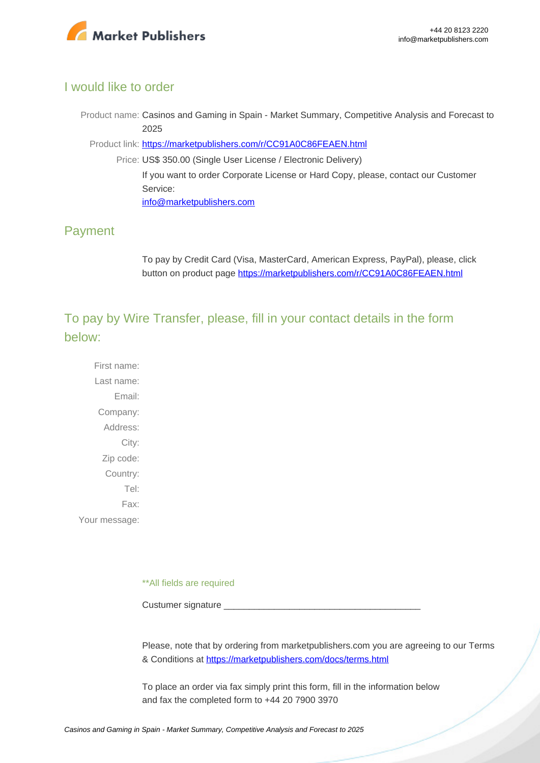

### I would like to order

Product name: Casinos and Gaming in Spain - Market Summary, Competitive Analysis and Forecast to 2025

Product link: [https://marketpublishers.com/r/CC91A0C86FEAEN.html](https://marketpublishers.com/report/media-entertainment/casino-gaming/casinos-n-gaming-in-spain-market-summary-competitive-analysis-n-forecast-to-2025.html)

Price: US\$ 350.00 (Single User License / Electronic Delivery) If you want to order Corporate License or Hard Copy, please, contact our Customer Service: [info@marketpublishers.com](mailto:info@marketpublishers.com)

### Payment

To pay by Credit Card (Visa, MasterCard, American Express, PayPal), please, click button on product page [https://marketpublishers.com/r/CC91A0C86FEAEN.html](https://marketpublishers.com/report/media-entertainment/casino-gaming/casinos-n-gaming-in-spain-market-summary-competitive-analysis-n-forecast-to-2025.html)

To pay by Wire Transfer, please, fill in your contact details in the form below:

First name: Last name: Email: Company: Address: City: Zip code: Country: Tel: Fax: Your message:

\*\*All fields are required

Custumer signature

Please, note that by ordering from marketpublishers.com you are agreeing to our Terms & Conditions at<https://marketpublishers.com/docs/terms.html>

To place an order via fax simply print this form, fill in the information below and fax the completed form to +44 20 7900 3970